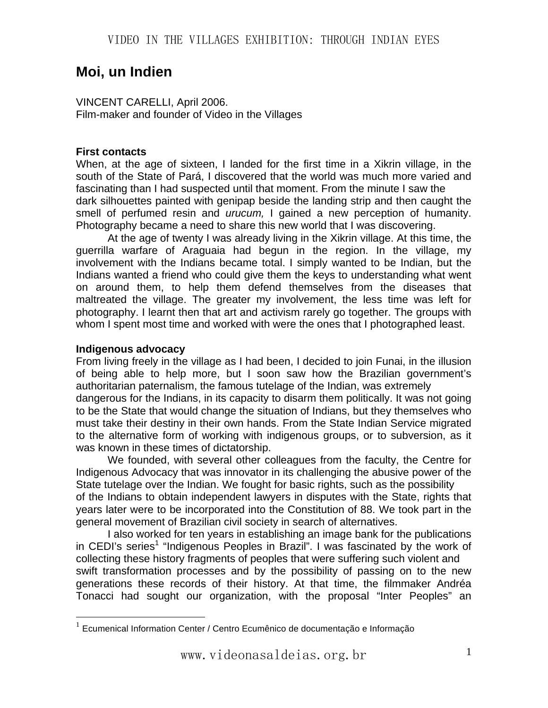# **Moi, un Indien**

VINCENT CARELLI, April 2006. Film-maker and founder of Video in the Villages

#### **First contacts**

When, at the age of sixteen, I landed for the first time in a Xikrin village, in the south of the State of Pará, I discovered that the world was much more varied and fascinating than I had suspected until that moment. From the minute I saw the dark silhouettes painted with genipap beside the landing strip and then caught the smell of perfumed resin and *urucum,* I gained a new perception of humanity. Photography became a need to share this new world that I was discovering.

At the age of twenty I was already living in the Xikrin village. At this time, the guerrilla warfare of Araguaia had begun in the region. In the village, my involvement with the Indians became total. I simply wanted to be Indian, but the Indians wanted a friend who could give them the keys to understanding what went on around them, to help them defend themselves from the diseases that maltreated the village. The greater my involvement, the less time was left for photography. I learnt then that art and activism rarely go together. The groups with whom I spent most time and worked with were the ones that I photographed least.

# **Indigenous advocacy**

1

From living freely in the village as I had been, I decided to join Funai, in the illusion of being able to help more, but I soon saw how the Brazilian government's authoritarian paternalism, the famous tutelage of the Indian, was extremely dangerous for the Indians, in its capacity to disarm them politically. It was not going to be the State that would change the situation of Indians, but they themselves who must take their destiny in their own hands. From the State Indian Service migrated to the alternative form of working with indigenous groups, or to subversion, as it was known in these times of dictatorship.

We founded, with several other colleagues from the faculty, the Centre for Indigenous Advocacy that was innovator in its challenging the abusive power of the State tutelage over the Indian. We fought for basic rights, such as the possibility of the Indians to obtain independent lawyers in disputes with the State, rights that years later were to be incorporated into the Constitution of 88. We took part in the general movement of Brazilian civil society in search of alternatives.

I also worked for ten years in establishing an image bank for the publications in CEDI's series<sup>1</sup> "Indigenous Peoples in Brazil". I was fascinated by the work of collecting these history fragments of peoples that were suffering such violent and swift transformation processes and by the possibility of passing on to the new generations these records of their history. At that time, the filmmaker Andréa Tonacci had sought our organization, with the proposal "Inter Peoples" an

 $1$  Ecumenical Information Center / Centro Ecumênico de documentação e Informação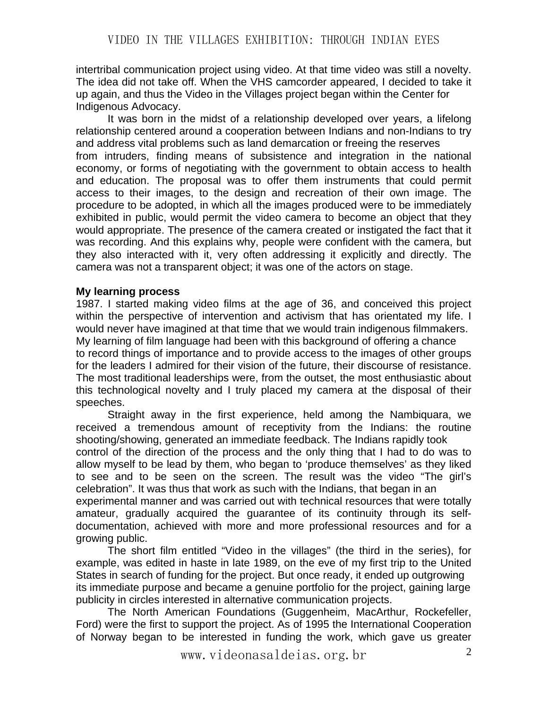intertribal communication project using video. At that time video was still a novelty. The idea did not take off. When the VHS camcorder appeared, I decided to take it up again, and thus the Video in the Villages project began within the Center for Indigenous Advocacy.

It was born in the midst of a relationship developed over years, a lifelong relationship centered around a cooperation between Indians and non-Indians to try and address vital problems such as land demarcation or freeing the reserves from intruders, finding means of subsistence and integration in the national economy, or forms of negotiating with the government to obtain access to health and education. The proposal was to offer them instruments that could permit access to their images, to the design and recreation of their own image. The procedure to be adopted, in which all the images produced were to be immediately exhibited in public, would permit the video camera to become an object that they would appropriate. The presence of the camera created or instigated the fact that it was recording. And this explains why, people were confident with the camera, but they also interacted with it, very often addressing it explicitly and directly. The camera was not a transparent object; it was one of the actors on stage.

# **My learning process**

1987. I started making video films at the age of 36, and conceived this project within the perspective of intervention and activism that has orientated my life. I would never have imagined at that time that we would train indigenous filmmakers. My learning of film language had been with this background of offering a chance to record things of importance and to provide access to the images of other groups for the leaders I admired for their vision of the future, their discourse of resistance. The most traditional leaderships were, from the outset, the most enthusiastic about this technological novelty and I truly placed my camera at the disposal of their speeches.

Straight away in the first experience, held among the Nambiquara, we received a tremendous amount of receptivity from the Indians: the routine shooting/showing, generated an immediate feedback. The Indians rapidly took control of the direction of the process and the only thing that I had to do was to allow myself to be lead by them, who began to 'produce themselves' as they liked to see and to be seen on the screen. The result was the video "The girl's celebration". It was thus that work as such with the Indians, that began in an experimental manner and was carried out with technical resources that were totally amateur, gradually acquired the guarantee of its continuity through its selfdocumentation, achieved with more and more professional resources and for a arowing public.

The short film entitled "Video in the villages" (the third in the series), for example, was edited in haste in late 1989, on the eve of my first trip to the United States in search of funding for the project. But once ready, it ended up outgrowing its immediate purpose and became a genuine portfolio for the project, gaining large publicity in circles interested in alternative communication projects.

The North American Foundations (Guggenheim, MacArthur, Rockefeller, Ford) were the first to support the project. As of 1995 the International Cooperation of Norway began to be interested in funding the work, which gave us greater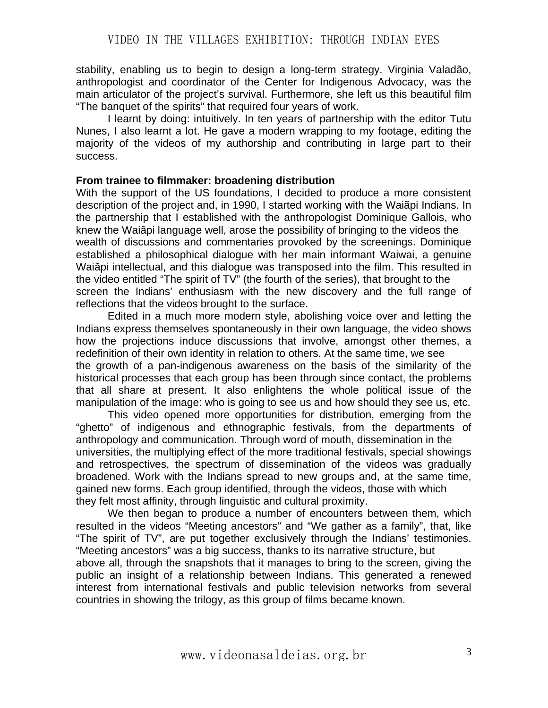stability, enabling us to begin to design a long-term strategy. Virginia Valadão, anthropologist and coordinator of the Center for Indigenous Advocacy, was the main articulator of the project's survival. Furthermore, she left us this beautiful film "The banquet of the spirits" that required four years of work.

I learnt by doing: intuitively. In ten years of partnership with the editor Tutu Nunes, I also learnt a lot. He gave a modern wrapping to my footage, editing the majority of the videos of my authorship and contributing in large part to their success.

#### **From trainee to filmmaker: broadening distribution**

With the support of the US foundations, I decided to produce a more consistent description of the project and, in 1990, I started working with the Waiãpi Indians. In the partnership that I established with the anthropologist Dominique Gallois, who knew the Waiãpi language well, arose the possibility of bringing to the videos the wealth of discussions and commentaries provoked by the screenings. Dominique established a philosophical dialogue with her main informant Waiwai, a genuine Waiãpi intellectual, and this dialogue was transposed into the film. This resulted in the video entitled "The spirit of TV" (the fourth of the series), that brought to the screen the Indians' enthusiasm with the new discovery and the full range of reflections that the videos brought to the surface.

Edited in a much more modern style, abolishing voice over and letting the Indians express themselves spontaneously in their own language, the video shows how the projections induce discussions that involve, amongst other themes, a redefinition of their own identity in relation to others. At the same time, we see the growth of a pan-indigenous awareness on the basis of the similarity of the historical processes that each group has been through since contact, the problems that all share at present. It also enlightens the whole political issue of the manipulation of the image: who is going to see us and how should they see us, etc.

This video opened more opportunities for distribution, emerging from the "ghetto" of indigenous and ethnographic festivals, from the departments of anthropology and communication. Through word of mouth, dissemination in the universities, the multiplying effect of the more traditional festivals, special showings and retrospectives, the spectrum of dissemination of the videos was gradually broadened. Work with the Indians spread to new groups and, at the same time, gained new forms. Each group identified, through the videos, those with which they felt most affinity, through linguistic and cultural proximity.

We then began to produce a number of encounters between them, which resulted in the videos "Meeting ancestors" and "We gather as a family", that, like "The spirit of TV", are put together exclusively through the Indians' testimonies. "Meeting ancestors" was a big success, thanks to its narrative structure, but

above all, through the snapshots that it manages to bring to the screen, giving the public an insight of a relationship between Indians. This generated a renewed interest from international festivals and public television networks from several countries in showing the trilogy, as this group of films became known.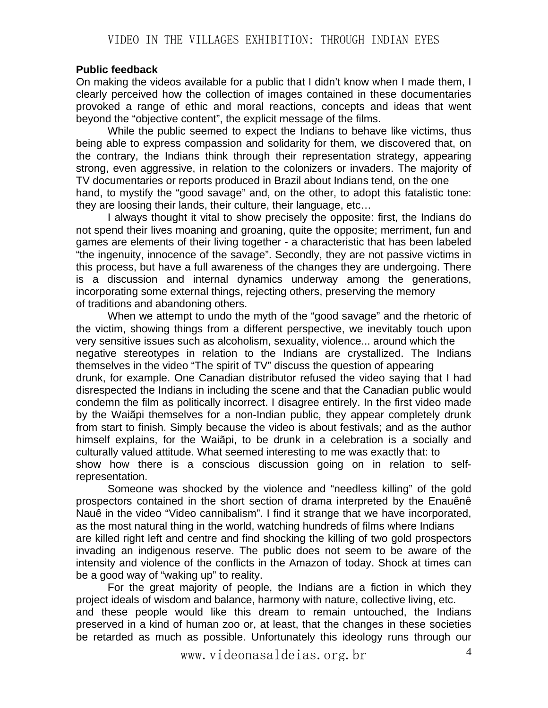#### **Public feedback**

On making the videos available for a public that I didn't know when I made them, I clearly perceived how the collection of images contained in these documentaries provoked a range of ethic and moral reactions, concepts and ideas that went beyond the "objective content", the explicit message of the films.

While the public seemed to expect the Indians to behave like victims, thus being able to express compassion and solidarity for them, we discovered that, on the contrary, the Indians think through their representation strategy, appearing strong, even aggressive, in relation to the colonizers or invaders. The majority of TV documentaries or reports produced in Brazil about Indians tend, on the one hand, to mystify the "good savage" and, on the other, to adopt this fatalistic tone: they are loosing their lands, their culture, their language, etc…

I always thought it vital to show precisely the opposite: first, the Indians do not spend their lives moaning and groaning, quite the opposite; merriment, fun and games are elements of their living together - a characteristic that has been labeled "the ingenuity, innocence of the savage". Secondly, they are not passive victims in this process, but have a full awareness of the changes they are undergoing. There is a discussion and internal dynamics underway among the generations, incorporating some external things, rejecting others, preserving the memory of traditions and abandoning others.

When we attempt to undo the myth of the "good savage" and the rhetoric of the victim, showing things from a different perspective, we inevitably touch upon very sensitive issues such as alcoholism, sexuality, violence... around which the negative stereotypes in relation to the Indians are crystallized. The Indians themselves in the video "The spirit of TV" discuss the question of appearing drunk, for example. One Canadian distributor refused the video saying that I had disrespected the Indians in including the scene and that the Canadian public would condemn the film as politically incorrect. I disagree entirely. In the first video made by the Waiãpi themselves for a non-Indian public, they appear completely drunk from start to finish. Simply because the video is about festivals; and as the author himself explains, for the Waiãpi, to be drunk in a celebration is a socially and culturally valued attitude. What seemed interesting to me was exactly that: to show how there is a conscious discussion going on in relation to selfrepresentation.

Someone was shocked by the violence and "needless killing" of the gold prospectors contained in the short section of drama interpreted by the Enauênê Nauê in the video "Video cannibalism". I find it strange that we have incorporated, as the most natural thing in the world, watching hundreds of films where Indians are killed right left and centre and find shocking the killing of two gold prospectors invading an indigenous reserve. The public does not seem to be aware of the intensity and violence of the conflicts in the Amazon of today. Shock at times can be a good way of "waking up" to reality.

For the great majority of people, the Indians are a fiction in which they project ideals of wisdom and balance, harmony with nature, collective living, etc. and these people would like this dream to remain untouched, the Indians preserved in a kind of human zoo or, at least, that the changes in these societies

www.videonasaldeias.org.br 4

be retarded as much as possible. Unfortunately this ideology runs through our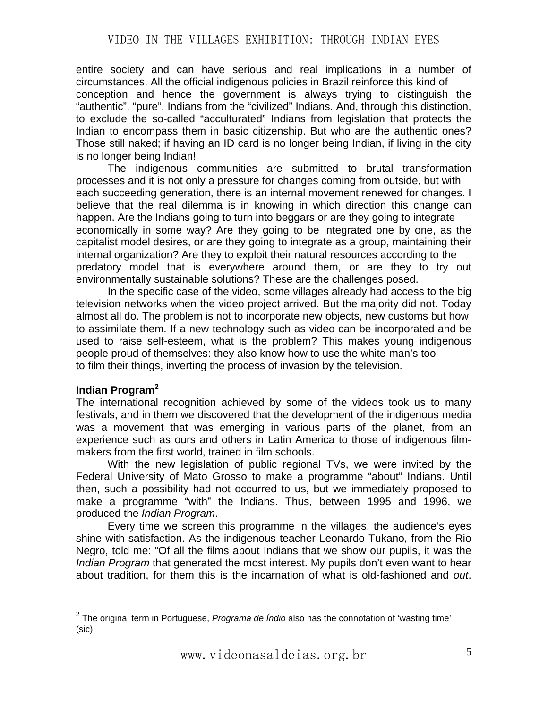entire society and can have serious and real implications in a number of circumstances. All the official indigenous policies in Brazil reinforce this kind of conception and hence the government is always trying to distinguish the "authentic", "pure", Indians from the "civilized" Indians. And, through this distinction, to exclude the so-called "acculturated" Indians from legislation that protects the Indian to encompass them in basic citizenship. But who are the authentic ones? Those still naked; if having an ID card is no longer being Indian, if living in the city is no longer being Indian!

The indigenous communities are submitted to brutal transformation processes and it is not only a pressure for changes coming from outside, but with each succeeding generation, there is an internal movement renewed for changes. I believe that the real dilemma is in knowing in which direction this change can happen. Are the Indians going to turn into beggars or are they going to integrate economically in some way? Are they going to be integrated one by one, as the capitalist model desires, or are they going to integrate as a group, maintaining their internal organization? Are they to exploit their natural resources according to the predatory model that is everywhere around them, or are they to try out environmentally sustainable solutions? These are the challenges posed.

In the specific case of the video, some villages already had access to the big television networks when the video project arrived. But the majority did not. Today almost all do. The problem is not to incorporate new objects, new customs but how to assimilate them. If a new technology such as video can be incorporated and be used to raise self-esteem, what is the problem? This makes young indigenous people proud of themselves: they also know how to use the white-man's tool to film their things, inverting the process of invasion by the television.

#### **Indian Program<sup>2</sup>**

1

The international recognition achieved by some of the videos took us to many festivals, and in them we discovered that the development of the indigenous media was a movement that was emerging in various parts of the planet, from an experience such as ours and others in Latin America to those of indigenous filmmakers from the first world, trained in film schools.

With the new legislation of public regional TVs, we were invited by the Federal University of Mato Grosso to make a programme "about" Indians. Until then, such a possibility had not occurred to us, but we immediately proposed to make a programme "with" the Indians. Thus, between 1995 and 1996, we produced the *Indian Program*.

Every time we screen this programme in the villages, the audience's eyes shine with satisfaction. As the indigenous teacher Leonardo Tukano, from the Rio Negro, told me: "Of all the films about Indians that we show our pupils, it was the *Indian Program* that generated the most interest. My pupils don't even want to hear about tradition, for them this is the incarnation of what is old-fashioned and *out*.

<sup>2</sup> The original term in Portuguese, *Programa de Índio* also has the connotation of 'wasting time' (sic).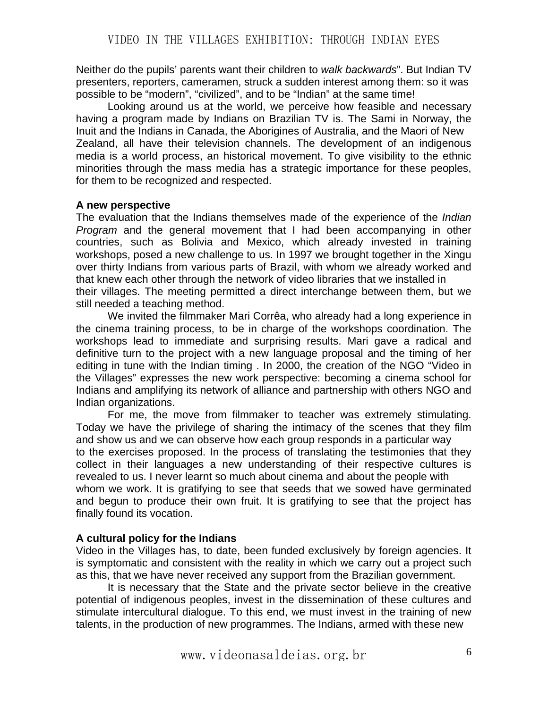Neither do the pupils' parents want their children to *walk backwards*". But Indian TV presenters, reporters, cameramen, struck a sudden interest among them: so it was possible to be "modern", "civilized", and to be "Indian" at the same time!

Looking around us at the world, we perceive how feasible and necessary having a program made by Indians on Brazilian TV is. The Sami in Norway, the Inuit and the Indians in Canada, the Aborigines of Australia, and the Maori of New Zealand, all have their television channels. The development of an indigenous media is a world process, an historical movement. To give visibility to the ethnic minorities through the mass media has a strategic importance for these peoples, for them to be recognized and respected.

# **A new perspective**

The evaluation that the Indians themselves made of the experience of the *Indian Program* and the general movement that I had been accompanying in other countries, such as Bolivia and Mexico, which already invested in training workshops, posed a new challenge to us. In 1997 we brought together in the Xingu over thirty Indians from various parts of Brazil, with whom we already worked and that knew each other through the network of video libraries that we installed in their villages. The meeting permitted a direct interchange between them, but we still needed a teaching method.

We invited the filmmaker Mari Corrêa, who already had a long experience in the cinema training process, to be in charge of the workshops coordination. The workshops lead to immediate and surprising results. Mari gave a radical and definitive turn to the project with a new language proposal and the timing of her editing in tune with the Indian timing . In 2000, the creation of the NGO "Video in the Villages" expresses the new work perspective: becoming a cinema school for Indians and amplifying its network of alliance and partnership with others NGO and Indian organizations.

For me, the move from filmmaker to teacher was extremely stimulating. Today we have the privilege of sharing the intimacy of the scenes that they film and show us and we can observe how each group responds in a particular way to the exercises proposed. In the process of translating the testimonies that they collect in their languages a new understanding of their respective cultures is revealed to us. I never learnt so much about cinema and about the people with whom we work. It is gratifying to see that seeds that we sowed have germinated and begun to produce their own fruit. It is gratifying to see that the project has finally found its vocation.

# **A cultural policy for the Indians**

Video in the Villages has, to date, been funded exclusively by foreign agencies. It is symptomatic and consistent with the reality in which we carry out a project such as this, that we have never received any support from the Brazilian government.

It is necessary that the State and the private sector believe in the creative potential of indigenous peoples, invest in the dissemination of these cultures and stimulate intercultural dialogue. To this end, we must invest in the training of new talents, in the production of new programmes. The Indians, armed with these new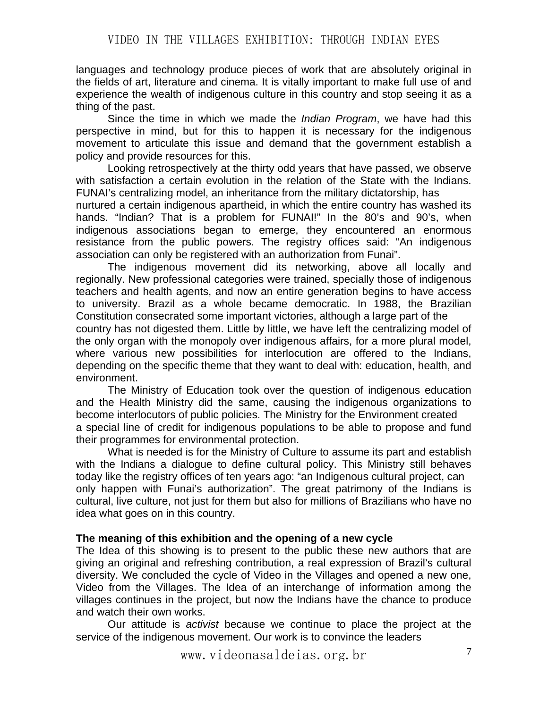languages and technology produce pieces of work that are absolutely original in the fields of art, literature and cinema. It is vitally important to make full use of and experience the wealth of indigenous culture in this country and stop seeing it as a thing of the past.

Since the time in which we made the *Indian Program*, we have had this perspective in mind, but for this to happen it is necessary for the indigenous movement to articulate this issue and demand that the government establish a policy and provide resources for this.

Looking retrospectively at the thirty odd years that have passed, we observe with satisfaction a certain evolution in the relation of the State with the Indians. FUNAI's centralizing model, an inheritance from the military dictatorship, has

nurtured a certain indigenous apartheid, in which the entire country has washed its hands. "Indian? That is a problem for FUNAI!" In the 80's and 90's, when indigenous associations began to emerge, they encountered an enormous resistance from the public powers. The registry offices said: "An indigenous association can only be registered with an authorization from Funai".

The indigenous movement did its networking, above all locally and regionally. New professional categories were trained, specially those of indigenous teachers and health agents, and now an entire generation begins to have access to university. Brazil as a whole became democratic. In 1988, the Brazilian Constitution consecrated some important victories, although a large part of the country has not digested them. Little by little, we have left the centralizing model of the only organ with the monopoly over indigenous affairs, for a more plural model, where various new possibilities for interlocution are offered to the Indians, depending on the specific theme that they want to deal with: education, health, and environment.

The Ministry of Education took over the question of indigenous education and the Health Ministry did the same, causing the indigenous organizations to become interlocutors of public policies. The Ministry for the Environment created a special line of credit for indigenous populations to be able to propose and fund their programmes for environmental protection.

What is needed is for the Ministry of Culture to assume its part and establish with the Indians a dialogue to define cultural policy. This Ministry still behaves today like the registry offices of ten years ago: "an Indigenous cultural project, can only happen with Funai's authorization". The great patrimony of the Indians is cultural, live culture, not just for them but also for millions of Brazilians who have no idea what goes on in this country.

#### **The meaning of this exhibition and the opening of a new cycle**

The Idea of this showing is to present to the public these new authors that are giving an original and refreshing contribution, a real expression of Brazil's cultural diversity. We concluded the cycle of Video in the Villages and opened a new one, Video from the Villages. The Idea of an interchange of information among the villages continues in the project, but now the Indians have the chance to produce and watch their own works.

Our attitude is *activist* because we continue to place the project at the service of the indigenous movement. Our work is to convince the leaders